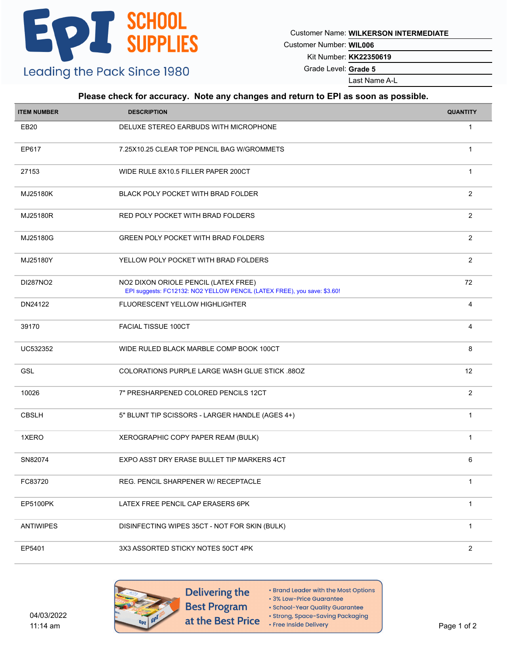Customer Name: **WILKERSON INTERMEDIATE**

Customer Number: **WIL006**

Kit Number: **KK22350619**

Grade Level: **Grade 5**

Last Name A-L

#### **Please check for accuracy. Note any changes and return to EPI as soon as possible.**

| <b>ITEM NUMBER</b> | <b>DESCRIPTION</b>                                                                                               | <b>QUANTITY</b> |
|--------------------|------------------------------------------------------------------------------------------------------------------|-----------------|
| EB <sub>20</sub>   | DELUXE STEREO EARBUDS WITH MICROPHONE                                                                            | $\mathbf{1}$    |
| EP617              | 7.25X10.25 CLEAR TOP PENCIL BAG W/GROMMETS                                                                       | $\mathbf{1}$    |
| 27153              | WIDE RULE 8X10.5 FILLER PAPER 200CT                                                                              | $\mathbf{1}$    |
| MJ25180K           | BLACK POLY POCKET WITH BRAD FOLDER                                                                               | 2               |
| MJ25180R           | RED POLY POCKET WITH BRAD FOLDERS                                                                                | $\overline{2}$  |
| MJ25180G           | <b>GREEN POLY POCKET WITH BRAD FOLDERS</b>                                                                       | $\overline{2}$  |
| MJ25180Y           | YELLOW POLY POCKET WITH BRAD FOLDERS                                                                             | $\overline{2}$  |
| DI287NO2           | NO2 DIXON ORIOLE PENCIL (LATEX FREE)<br>EPI suggests: FC12132: NO2 YELLOW PENCIL (LATEX FREE), you save: \$3.60! | 72              |
| DN24122            | FLUORESCENT YELLOW HIGHLIGHTER                                                                                   | 4               |
| 39170              | <b>FACIAL TISSUE 100CT</b>                                                                                       | 4               |
| UC532352           | WIDE RULED BLACK MARBLE COMP BOOK 100CT                                                                          | 8               |
| <b>GSL</b>         | COLORATIONS PURPLE LARGE WASH GLUE STICK .88OZ                                                                   | 12              |
| 10026              | 7" PRESHARPENED COLORED PENCILS 12CT                                                                             | $\overline{2}$  |
| <b>CBSLH</b>       | 5" BLUNT TIP SCISSORS - LARGER HANDLE (AGES 4+)                                                                  | $\mathbf{1}$    |
| 1XERO              | XEROGRAPHIC COPY PAPER REAM (BULK)                                                                               | $\mathbf{1}$    |
| SN82074            | EXPO ASST DRY ERASE BULLET TIP MARKERS 4CT                                                                       | 6               |
| FC83720            | REG. PENCIL SHARPENER W/ RECEPTACLE                                                                              | $\mathbf{1}$    |
| EP5100PK           | LATEX FREE PENCIL CAP ERASERS 6PK                                                                                | $\mathbf{1}$    |
| <b>ANTIWIPES</b>   | DISINFECTING WIPES 35CT - NOT FOR SKIN (BULK)                                                                    | $\mathbf{1}$    |
| EP5401             | 3X3 ASSORTED STICKY NOTES 50CT 4PK                                                                               | $\overline{c}$  |

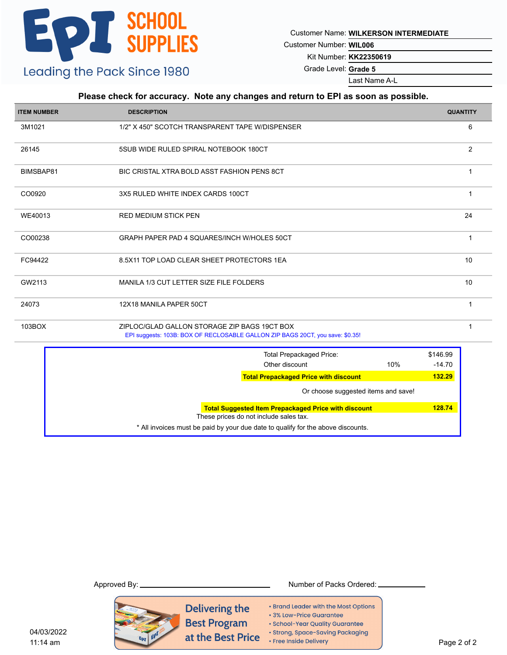Customer Name: **WILKERSON INTERMEDIATE**

Customer Number: **WIL006**

Kit Number: **KK22350619**

Grade Level: **Grade 5**

Last Name A-L

#### **Please check for accuracy. Note any changes and return to EPI as soon as possible.**

| <b>ITEM NUMBER</b> | <b>DESCRIPTION</b>                                                                                                            |                      | <b>QUANTITY</b> |  |  |  |
|--------------------|-------------------------------------------------------------------------------------------------------------------------------|----------------------|-----------------|--|--|--|
| 3M1021             | 1/2" X 450" SCOTCH TRANSPARENT TAPE W/DISPENSER                                                                               |                      |                 |  |  |  |
| 26145              | 5SUB WIDE RULED SPIRAL NOTEBOOK 180CT                                                                                         |                      | 2               |  |  |  |
| BIMSBAP81          | BIC CRISTAL XTRA BOLD ASST FASHION PENS 8CT                                                                                   |                      | $\mathbf{1}$    |  |  |  |
| CO0920             | 3X5 RULED WHITE INDEX CARDS 100CT                                                                                             |                      |                 |  |  |  |
| WE40013            | <b>RED MEDIUM STICK PEN</b>                                                                                                   | 24                   |                 |  |  |  |
| CO00238            | GRAPH PAPER PAD 4 SQUARES/INCH W/HOLES 50CT                                                                                   |                      | $\mathbf 1$     |  |  |  |
| FC94422            | 8.5X11 TOP LOAD CLEAR SHEET PROTECTORS 1EA                                                                                    |                      | 10              |  |  |  |
| GW2113             | MANILA 1/3 CUT LETTER SIZE FILE FOLDERS                                                                                       |                      | 10              |  |  |  |
| 24073              | 12X18 MANILA PAPER 50CT                                                                                                       |                      | $\mathbf{1}$    |  |  |  |
| 103BOX             | ZIPLOC/GLAD GALLON STORAGE ZIP BAGS 19CT BOX<br>EPI suggests: 103B: BOX OF RECLOSABLE GALLON ZIP BAGS 20CT, you save: \$0.35! |                      | $\mathbf{1}$    |  |  |  |
|                    | <b>Total Prepackaged Price:</b><br>Other discount<br>10%                                                                      | \$146.99<br>$-14.70$ |                 |  |  |  |
|                    | <b>Total Prepackaged Price with discount</b>                                                                                  | 132.29               |                 |  |  |  |
|                    | Or choose suggested items and save!                                                                                           |                      |                 |  |  |  |
|                    | <b>Total Suggested Item Prepackaged Price with discount</b><br>These prices do not include sales tax.                         | 128.74               |                 |  |  |  |
|                    | * All invoices must be paid by your due date to qualify for the above discounts.                                              |                      |                 |  |  |  |
|                    |                                                                                                                               |                      |                 |  |  |  |

Approved By: Number of Packs Ordered: Delivering the • Brand Leader with the Most Options · 3% Low-Price Guarantee **Best Program** · School-Year Quality Guarantee · Strong, Space-Saving Packaging at the Best Price • Free Inside Delivery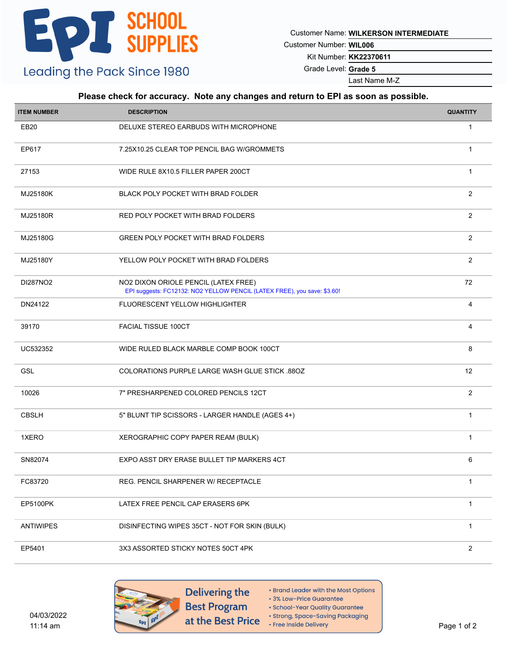Customer Name: **WILKERSON INTERMEDIATE**

Customer Number: **WIL006**

Kit Number: **KK22370611**

Grade Level: **Grade 5**

Last Name M-Z

#### **Please check for accuracy. Note any changes and return to EPI as soon as possible.**

| <b>ITEM NUMBER</b> | <b>DESCRIPTION</b>                                                                                               | <b>QUANTITY</b> |
|--------------------|------------------------------------------------------------------------------------------------------------------|-----------------|
| EB <sub>20</sub>   | DELUXE STEREO EARBUDS WITH MICROPHONE                                                                            | $\mathbf{1}$    |
| EP617              | 7.25X10.25 CLEAR TOP PENCIL BAG W/GROMMETS                                                                       | $\mathbf{1}$    |
| 27153              | WIDE RULE 8X10.5 FILLER PAPER 200CT                                                                              | $\mathbf{1}$    |
| MJ25180K           | BLACK POLY POCKET WITH BRAD FOLDER                                                                               | 2               |
| MJ25180R           | RED POLY POCKET WITH BRAD FOLDERS                                                                                | $\overline{2}$  |
| MJ25180G           | <b>GREEN POLY POCKET WITH BRAD FOLDERS</b>                                                                       | $\overline{2}$  |
| MJ25180Y           | YELLOW POLY POCKET WITH BRAD FOLDERS                                                                             | $\overline{2}$  |
| DI287NO2           | NO2 DIXON ORIOLE PENCIL (LATEX FREE)<br>EPI suggests: FC12132: NO2 YELLOW PENCIL (LATEX FREE), you save: \$3.60! | 72              |
| DN24122            | FLUORESCENT YELLOW HIGHLIGHTER                                                                                   | 4               |
| 39170              | <b>FACIAL TISSUE 100CT</b>                                                                                       | 4               |
| UC532352           | WIDE RULED BLACK MARBLE COMP BOOK 100CT                                                                          | 8               |
| <b>GSL</b>         | COLORATIONS PURPLE LARGE WASH GLUE STICK .88OZ                                                                   | 12              |
| 10026              | 7" PRESHARPENED COLORED PENCILS 12CT                                                                             | $\overline{2}$  |
| <b>CBSLH</b>       | 5" BLUNT TIP SCISSORS - LARGER HANDLE (AGES 4+)                                                                  | $\mathbf{1}$    |
| 1XERO              | XEROGRAPHIC COPY PAPER REAM (BULK)                                                                               | $\mathbf{1}$    |
| SN82074            | EXPO ASST DRY ERASE BULLET TIP MARKERS 4CT                                                                       | 6               |
| FC83720            | REG. PENCIL SHARPENER W/ RECEPTACLE                                                                              | $\mathbf{1}$    |
| EP5100PK           | LATEX FREE PENCIL CAP ERASERS 6PK                                                                                | $\mathbf{1}$    |
| <b>ANTIWIPES</b>   | DISINFECTING WIPES 35CT - NOT FOR SKIN (BULK)                                                                    | $\mathbf{1}$    |
| EP5401             | 3X3 ASSORTED STICKY NOTES 50CT 4PK                                                                               | $\overline{c}$  |

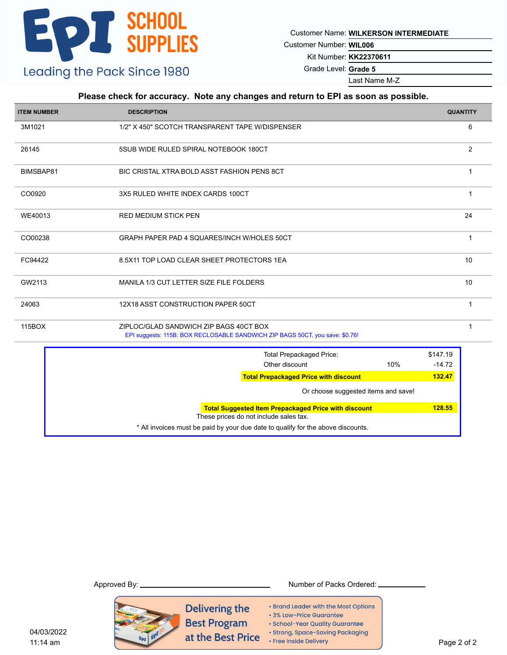Customer Name: **WILKERSON INTERMEDIATE**

Customer Number: **WIL006**

Kit Number: **KK22370611**

Grade Level: **Grade 5**

Last Name M-Z

#### **Please check for accuracy. Note any changes and return to EPI as soon as possible.**

| <b>ITEM NUMBER</b> | <b>DESCRIPTION</b>                                                                                                     |     |                      | <b>QUANTITY</b> |  |  |
|--------------------|------------------------------------------------------------------------------------------------------------------------|-----|----------------------|-----------------|--|--|
| 3M1021             | 1/2" X 450" SCOTCH TRANSPARENT TAPE W/DISPENSER                                                                        |     |                      |                 |  |  |
| 26145              | 5SUB WIDE RULED SPIRAL NOTEBOOK 180CT                                                                                  |     |                      | $\overline{2}$  |  |  |
| BIMSBAP81          | BIC CRISTAL XTRA BOLD ASST FASHION PENS 8CT                                                                            |     |                      | $\mathbf{1}$    |  |  |
| CO0920             | 3X5 RULED WHITE INDEX CARDS 100CT                                                                                      |     |                      |                 |  |  |
| WE40013            | 24<br><b>RED MEDIUM STICK PEN</b>                                                                                      |     |                      |                 |  |  |
| CO00238            | GRAPH PAPER PAD 4 SQUARES/INCH W/HOLES 50CT                                                                            |     |                      | $\mathbf{1}$    |  |  |
| FC94422            | 8.5X11 TOP LOAD CLEAR SHEET PROTECTORS 1EA                                                                             |     |                      | 10              |  |  |
| GW2113             | MANILA 1/3 CUT LETTER SIZE FILE FOLDERS                                                                                |     |                      | 10              |  |  |
| 24063              | 12X18 ASST CONSTRUCTION PAPER 50CT                                                                                     |     |                      | $\mathbf{1}$    |  |  |
| 115BOX             | ZIPLOC/GLAD SANDWICH ZIP BAGS 40CT BOX<br>EPI suggests: 115B: BOX RECLOSABLE SANDWICH ZIP BAGS 50CT, you save: \$0.76! |     |                      | $\mathbf{1}$    |  |  |
|                    | <b>Total Prepackaged Price:</b><br>Other discount                                                                      | 10% | \$147.19<br>$-14.72$ |                 |  |  |
|                    | <b>Total Prepackaged Price with discount</b>                                                                           |     | 132.47               |                 |  |  |
|                    | Or choose suggested items and save!                                                                                    |     |                      |                 |  |  |
|                    | <b>Total Suggested Item Prepackaged Price with discount</b><br>These prices do not include sales tax.                  |     | 128.55               |                 |  |  |
|                    | * All invoices must be paid by your due date to qualify for the above discounts.                                       |     |                      |                 |  |  |

Approved By: Number of Packs Ordered: Delivering the • Brand Leader with the Most Options · 3% Low-Price Guarantee **Best Program** · School-Year Quality Guarantee · Strong, Space-Saving Packaging at the Best Price • Free Inside Delivery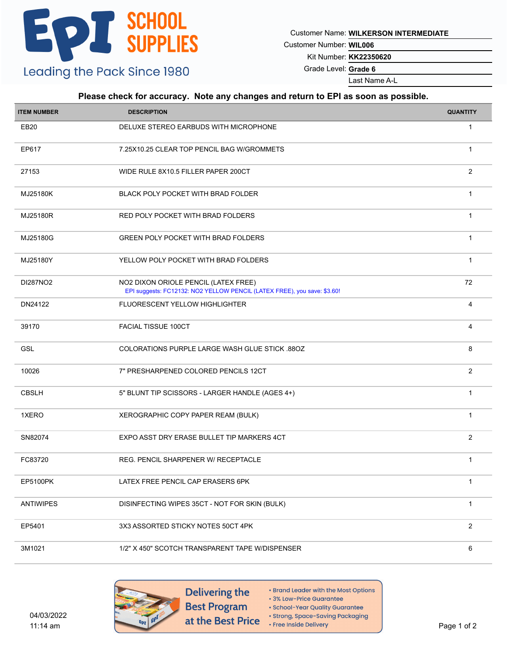Customer Name: **WILKERSON INTERMEDIATE**

Customer Number: **WIL006**

Kit Number: **KK22350620**

Grade Level: **Grade 6**

Last Name A-L

#### **Please check for accuracy. Note any changes and return to EPI as soon as possible.**

| <b>ITEM NUMBER</b> | <b>DESCRIPTION</b>                                                                                               | <b>QUANTITY</b> |
|--------------------|------------------------------------------------------------------------------------------------------------------|-----------------|
| EB20               | DELUXE STEREO EARBUDS WITH MICROPHONE                                                                            | $\mathbf{1}$    |
| EP617              | 7.25X10.25 CLEAR TOP PENCIL BAG W/GROMMETS                                                                       | $\mathbf{1}$    |
| 27153              | WIDE RULE 8X10.5 FILLER PAPER 200CT                                                                              | $\overline{2}$  |
| MJ25180K           | BLACK POLY POCKET WITH BRAD FOLDER                                                                               | $\mathbf{1}$    |
| MJ25180R           | RED POLY POCKET WITH BRAD FOLDERS                                                                                | $\mathbf{1}$    |
| MJ25180G           | <b>GREEN POLY POCKET WITH BRAD FOLDERS</b>                                                                       | $\mathbf{1}$    |
| MJ25180Y           | YELLOW POLY POCKET WITH BRAD FOLDERS                                                                             | $\mathbf{1}$    |
| DI287NO2           | NO2 DIXON ORIOLE PENCIL (LATEX FREE)<br>EPI suggests: FC12132: NO2 YELLOW PENCIL (LATEX FREE), you save: \$3.60! | 72              |
| DN24122            | FLUORESCENT YELLOW HIGHLIGHTER                                                                                   | 4               |
| 39170              | FACIAL TISSUE 100CT                                                                                              | 4               |
| GSL                | COLORATIONS PURPLE LARGE WASH GLUE STICK .88OZ                                                                   | 8               |
| 10026              | 7" PRESHARPENED COLORED PENCILS 12CT                                                                             | $\overline{2}$  |
| <b>CBSLH</b>       | 5" BLUNT TIP SCISSORS - LARGER HANDLE (AGES 4+)                                                                  | $\mathbf{1}$    |
| 1XERO              | XEROGRAPHIC COPY PAPER REAM (BULK)                                                                               | $\mathbf{1}$    |
| SN82074            | EXPO ASST DRY ERASE BULLET TIP MARKERS 4CT                                                                       | $\overline{2}$  |
| FC83720            | REG. PENCIL SHARPENER W/ RECEPTACLE                                                                              | $\mathbf{1}$    |
| EP5100PK           | LATEX FREE PENCIL CAP ERASERS 6PK                                                                                | $\mathbf{1}$    |
| <b>ANTIWIPES</b>   | DISINFECTING WIPES 35CT - NOT FOR SKIN (BULK)                                                                    | $\mathbf{1}$    |
| EP5401             | 3X3 ASSORTED STICKY NOTES 50CT 4PK                                                                               | $\overline{2}$  |
| 3M1021             | 1/2" X 450" SCOTCH TRANSPARENT TAPE W/DISPENSER                                                                  | 6               |



Delivering the **Best Program** at the Best Price

- Brand Leader with the Most Options
- 3% Low-Price Guarantee · School-Year Quality Guarantee
- · Strong, Space-Saving Packaging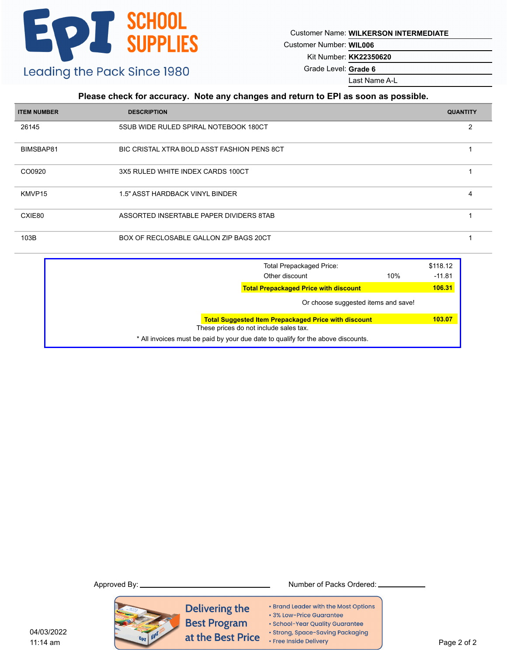Customer Name: **WILKERSON INTERMEDIATE**

Customer Number: **WIL006**

Kit Number: **KK22350620**

Grade Level: **Grade 6**

Last Name A-L

#### **Please check for accuracy. Note any changes and return to EPI as soon as possible.**

| <b>ITEM NUMBER</b> | <b>DESCRIPTION</b>                          | <b>QUANTITY</b> |
|--------------------|---------------------------------------------|-----------------|
| 26145              | 5SUB WIDE RULED SPIRAL NOTEBOOK 180CT       |                 |
| BIMSBAP81          | BIC CRISTAL XTRA BOLD ASST FASHION PENS 8CT |                 |
| CO0920             | 3X5 RULED WHITE INDEX CARDS 100CT           |                 |
| KMVP15             | 1.5" ASST HARDBACK VINYL BINDER             | 4               |
| CXIE80             | ASSORTED INSERTABLE PAPER DIVIDERS 8TAB     |                 |
| 103B               | BOX OF RECLOSABLE GALLON ZIP BAGS 20CT      |                 |

|  | <b>Total Prepackaged Price:</b>                                                  |                                     | \$118.12 |
|--|----------------------------------------------------------------------------------|-------------------------------------|----------|
|  | Other discount                                                                   | 10%                                 | $-11.81$ |
|  | <b>Total Prepackaged Price with discount</b>                                     |                                     | 106.31   |
|  |                                                                                  | Or choose suggested items and save! |          |
|  | <b>Total Suggested Item Prepackaged Price with discount</b>                      |                                     | 103.07   |
|  | These prices do not include sales tax.                                           |                                     |          |
|  | * All invoices must be paid by your due date to qualify for the above discounts. |                                     |          |
|  |                                                                                  |                                     |          |



Delivering the · 3% Low-Price Guarantee **Best Program** at the Best Price • Free Inside Delivery

• Brand Leader with the Most Options

- 
- · School-Year Quality Guarantee
- · Strong, Space-Saving Packaging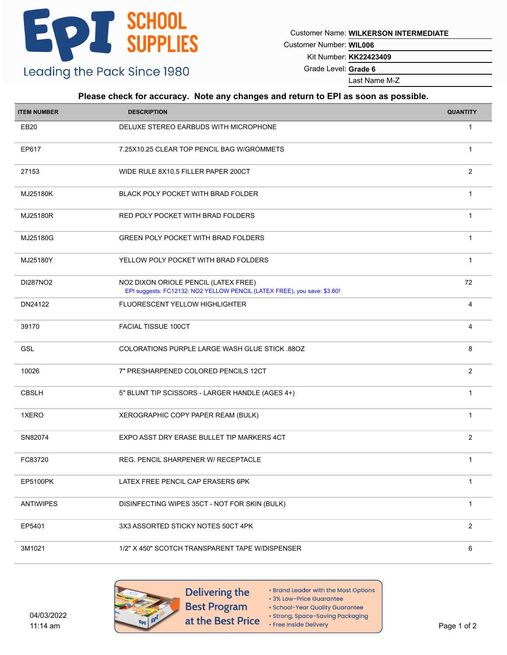Customer Name: **WILKERSON INTERMEDIATE**

Customer Number: **WIL006**

Kit Number: **KK22423409**

Grade Level: **Grade 6**

Last Name M-Z

#### **Please check for accuracy. Note any changes and return to EPI as soon as possible.**

| <b>ITEM NUMBER</b> | <b>DESCRIPTION</b>                                                                                               | <b>QUANTITY</b> |
|--------------------|------------------------------------------------------------------------------------------------------------------|-----------------|
| EB20               | DELUXE STEREO EARBUDS WITH MICROPHONE                                                                            | $\mathbf{1}$    |
| EP617              | 7.25X10.25 CLEAR TOP PENCIL BAG W/GROMMETS                                                                       | $\mathbf{1}$    |
| 27153              | WIDE RULE 8X10.5 FILLER PAPER 200CT                                                                              | $\overline{2}$  |
| MJ25180K           | BLACK POLY POCKET WITH BRAD FOLDER                                                                               | $\mathbf{1}$    |
| MJ25180R           | RED POLY POCKET WITH BRAD FOLDERS                                                                                | $\mathbf{1}$    |
| MJ25180G           | GREEN POLY POCKET WITH BRAD FOLDERS                                                                              | $\mathbf{1}$    |
| MJ25180Y           | YELLOW POLY POCKET WITH BRAD FOLDERS                                                                             | $\mathbf{1}$    |
| DI287NO2           | NO2 DIXON ORIOLE PENCIL (LATEX FREE)<br>EPI suggests: FC12132: NO2 YELLOW PENCIL (LATEX FREE), you save: \$3.60! | 72              |
| DN24122            | <b>FLUORESCENT YELLOW HIGHLIGHTER</b>                                                                            | 4               |
| 39170              | <b>FACIAL TISSUE 100CT</b>                                                                                       | 4               |
| GSL                | COLORATIONS PURPLE LARGE WASH GLUE STICK 880Z                                                                    | 8               |
| 10026              | 7" PRESHARPENED COLORED PENCILS 12CT                                                                             | $\overline{2}$  |
| <b>CBSLH</b>       | 5" BLUNT TIP SCISSORS - LARGER HANDLE (AGES 4+)                                                                  | $\mathbf{1}$    |
| 1XERO              | XEROGRAPHIC COPY PAPER REAM (BULK)                                                                               | $\mathbf{1}$    |
| SN82074            | EXPO ASST DRY ERASE BULLET TIP MARKERS 4CT                                                                       | 2               |
| FC83720            | REG. PENCIL SHARPENER W/ RECEPTACLE                                                                              | $\mathbf{1}$    |
| EP5100PK           | LATEX FREE PENCIL CAP ERASERS 6PK                                                                                | $\mathbf{1}$    |
| <b>ANTIWIPES</b>   | DISINFECTING WIPES 35CT - NOT FOR SKIN (BULK)                                                                    | $\mathbf{1}$    |
| EP5401             | 3X3 ASSORTED STICKY NOTES 50CT 4PK                                                                               | $\overline{2}$  |
| 3M1021             | 1/2" X 450" SCOTCH TRANSPARENT TAPE W/DISPENSER                                                                  | 6               |



Delivering the **Best Program** at the Best Price

- Brand Leader with the Most Options
- 3% Low-Price Guarantee · School-Year Quality Guarantee
- · Strong, Space-Saving Packaging
- Free Inside Delivery